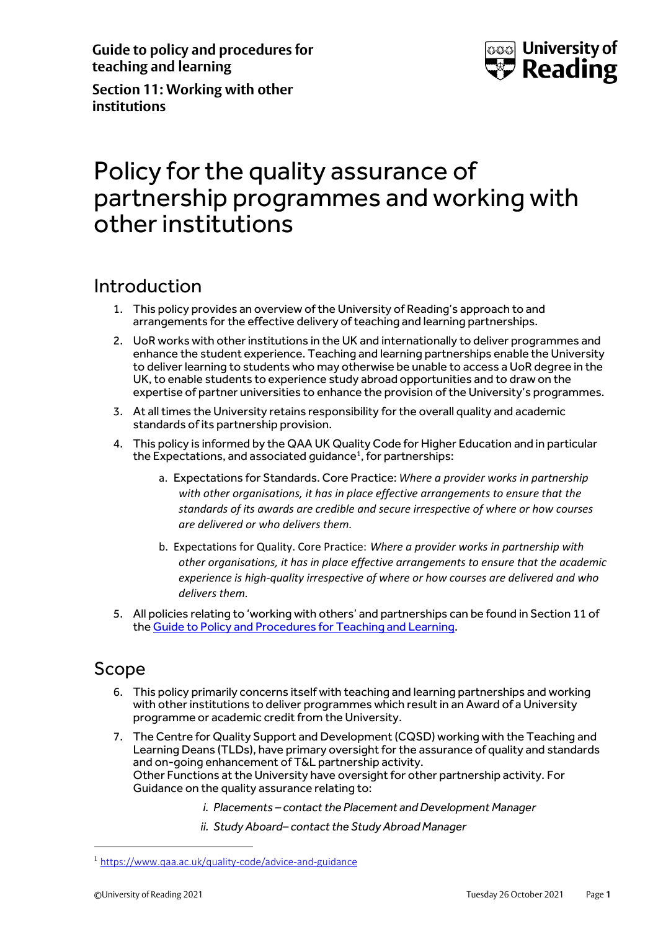**Guide to policy and procedures for teaching and learning**



**Section 11: Working with other institutions**

# Policy for the quality assurance of partnership programmes and working with other institutions

### Introduction

- 1. This policy provides an overview of the University of Reading's approach to and arrangements for the effective delivery of teaching and learning partnerships.
- 2. UoR works with other institutions in the UK and internationally to deliver programmes and enhance the student experience. Teaching and learning partnerships enable the University to deliver learning to students who may otherwise be unable to access a UoR degree in the UK, to enable students to experience study abroad opportunities and to draw on the expertise of partner universities to enhance the provision of the University's programmes.
- 3. At all times the University retains responsibility for the overall quality and academic standards of its partnership provision.
- 4. This policy is informed by the QAA UK Quality Code for Higher Education and in particular the Expectations, and associated guidance<sup>1</sup>, for partnerships:
	- a. Expectations for Standards. Core Practice: *Where a provider works in partnership with other organisations, it has in place effective arrangements to ensure that the standards of its awards are credible and secure irrespective of where or how courses are delivered or who delivers them.*
	- b. Expectations for Quality. Core Practice: *Where a provider works in partnership with other organisations, it has in place effective arrangements to ensure that the academic experience is high-quality irrespective of where or how courses are delivered and who delivers them.*
- 5. All policies relating to 'working with others' and partnerships can be found in Section 11 of th[e Guide to Policy and Procedures for Teaching and Learning.](http://www.reading.ac.uk/cqsd/QualityAssurance/PoliciesandProcedures/cqsd-PoliciesandProcedures.aspx)

#### Scope

- 6. This policy primarily concerns itself with teaching and learning partnerships and working with other institutions to deliver programmes which result in an Award of a University programme or academic credit from the University.
- 7. The Centre for Quality Support and Development (CQSD) working with the Teaching and Learning Deans (TLDs), have primary oversight for the assurance of quality and standards and on-going enhancement of T&L partnership activity. Other Functions at the University have oversight for other partnership activity. For Guidance on the quality assurance relating to:
	- *i. Placements – contact the Placement and Development Manager*
	- *ii. Study Aboard– contact the Study Abroad Manager*

<sup>1</sup> <https://www.qaa.ac.uk/quality-code/advice-and-guidance>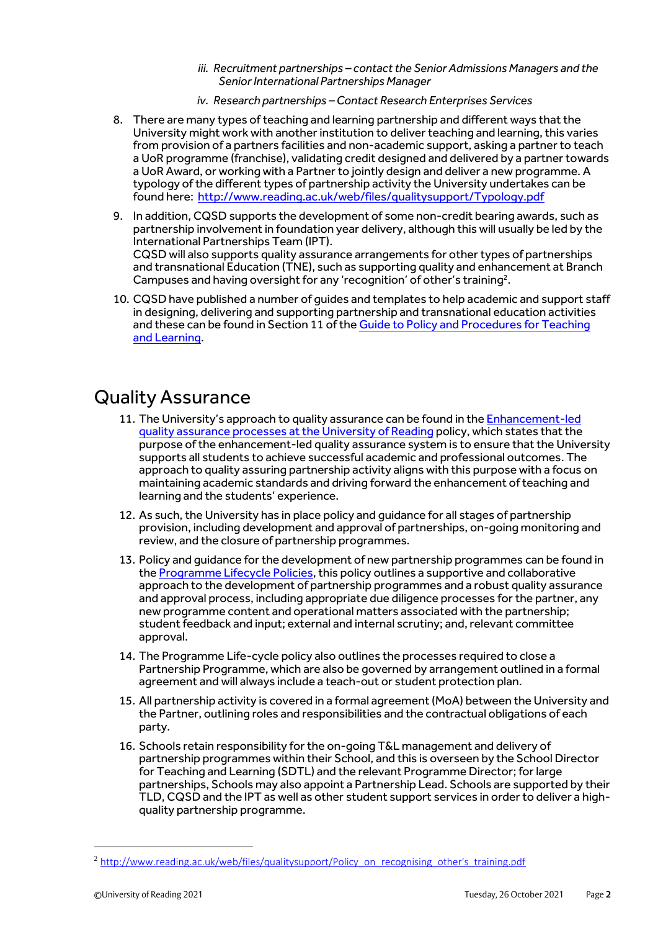- *iii. Recruitment partnerships – contact the Senior Admissions Managers and the Senior International Partnerships Manager*
- *iv. Research partnerships – Contact Research Enterprises Services*
- 8. There are many types of teaching and learning partnership and different ways that the University might work with another institution to deliver teaching and learning, this varies from provision of a partners facilities and non-academic support, asking a partner to teach a UoR programme (franchise), validating credit designed and delivered by a partner towards a UoR Award, or working with a Partner to jointly design and deliver a new programme. A typology of the different types of partnership activity the University undertakes can be found here: <http://www.reading.ac.uk/web/files/qualitysupport/Typology.pdf>
- 9. In addition, CQSD supports the development of some non-credit bearing awards, such as partnership involvement in foundation year delivery, although this will usually be led by the International Partnerships Team (IPT). CQSD will also supports quality assurance arrangements for other types of partnerships and transnational Education (TNE), such as supporting quality and enhancement at Branch Campuses and having oversight for any 'recognition' of other's training<sup>2</sup>.
- 10. CQSD have published a number of guides and templates to help academic and support staff in designing, delivering and supporting partnership and transnational education activities and these can be found in Section 11 of the [Guide to Policy and Procedures for Teaching](http://www.reading.ac.uk/cqsd/QualityAssurance/PoliciesandProcedures/cqsd-PoliciesandProcedures.aspx)  [and Learning.](http://www.reading.ac.uk/cqsd/QualityAssurance/PoliciesandProcedures/cqsd-PoliciesandProcedures.aspx)

## Quality Assurance

- 11. The University's approach to quality assurance can be found in th[e Enhancement-led](http://www.reading.ac.uk/web/files/qualitysupport/EQA_qualityoverview.pdf)  [quality assurance processes at the University](http://www.reading.ac.uk/web/files/qualitysupport/EQA_qualityoverview.pdf) of Reading policy, which states that the purpose of the enhancement-led quality assurance system is to ensure that the University supports all students to achieve successful academic and professional outcomes. The approach to quality assuring partnership activity aligns with this purpose with a focus on maintaining academic standards and driving forward the enhancement of teaching and learning and the students' experience.
- 12. As such, the University has in place policy and quidance for all stages of partnership provision, including development and approval of partnerships, on-going monitoring and review, and the closure of partnership programmes.
- 13. Policy and quidance for the development of new partnership programmes can be found in the [Programme Lifecycle](http://www.reading.ac.uk/web/files/qualitysupport/Programme-Lifecycle-Policies.pdf) Policies, this policy outlines a supportive and collaborative approach to the development of partnership programmes and a robust quality assurance and approval process, including appropriate due diligence processes for the partner, any new programme content and operational matters associated with the partnership; student feedback and input; external and internal scrutiny; and, relevant committee approval.
- 14. The Programme Life-cycle policy also outlines the processes required to close a Partnership Programme, which are also be governed by arrangement outlined in a formal agreement and will always include a teach-out or student protection plan.
- 15. All partnership activity is covered in a formal agreement(MoA) between the University and the Partner, outlining roles and responsibilities and the contractual obligations of each party.
- 16. Schools retain responsibility for the on-going T&L management and delivery of partnership programmes within their School, and this is overseen by the School Director for Teaching and Learning (SDTL) and the relevant Programme Director; for large partnerships, Schools may also appoint a Partnership Lead. Schools are supported by their TLD, CQSD and the IPT as well as other student support services in order to deliver a highquality partnership programme.

<sup>&</sup>lt;sup>2</sup> [http://www.reading.ac.uk/web/files/qualitysupport/Policy\\_on\\_recognising\\_other's\\_training.pdf](http://www.reading.ac.uk/web/files/qualitysupport/Policy_on_recognising_other)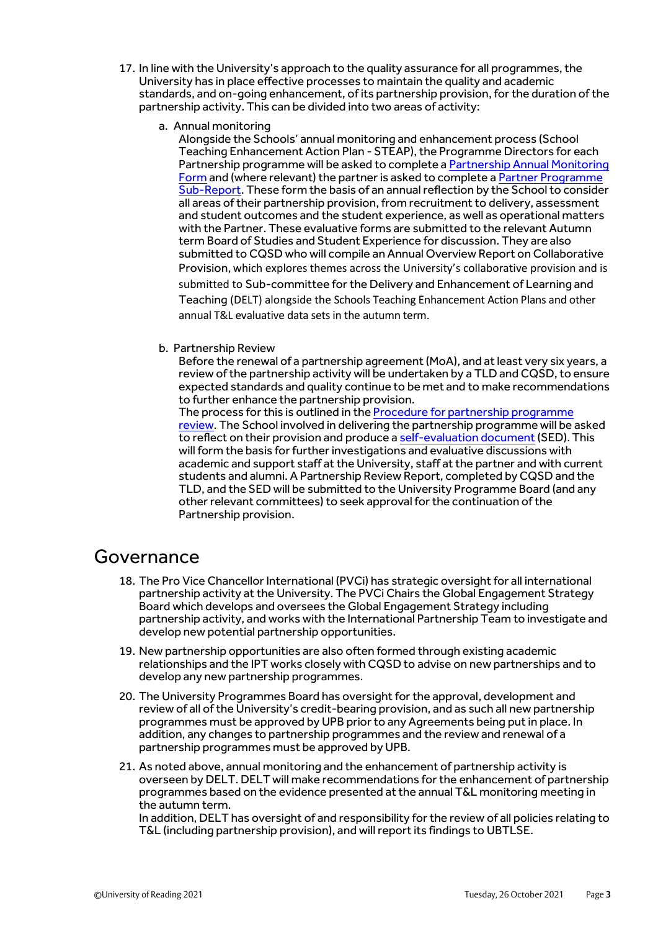- 17. In line with the University's approach to the quality assurance for all programmes, the University has in place effective processes to maintain the quality and academic standards, and on-going enhancement, of its partnership provision, for the duration of the partnership activity. This can be divided into two areas of activity:
	- a. Annual monitoring

Alongside the Schools' annual monitoring and enhancement process (School Teaching Enhancement Action Plan - STEAP), the Programme Directors for each Partnership programme will be asked to complete a [Partnership Annual Monitoring](http://www.reading.ac.uk/nmsruntime/saveasdialog.aspx?lID=134177&sID=87193)  [Form](http://www.reading.ac.uk/nmsruntime/saveasdialog.aspx?lID=134177&sID=87193) and (where relevant) the partner is asked to complete a [Partner Programme](http://www.reading.ac.uk/nmsruntime/saveasdialog.aspx?lID=92692&sID=87193)  [Sub-Report.](http://www.reading.ac.uk/nmsruntime/saveasdialog.aspx?lID=92692&sID=87193) These form the basis of an annual reflection by the School to consider all areas of their partnership provision, from recruitment to delivery, assessment and student outcomes and the student experience, as well as operational matters with the Partner. These evaluative forms are submitted to the relevant Autumn term Board of Studies and Student Experience for discussion. They are also submitted to CQSD who will compile an Annual Overview Report on Collaborative Provision, which explores themes across the University's collaborative provision and is submitted to Sub-committee for the Delivery and Enhancement of Learning and Teaching (DELT) alongside the Schools Teaching Enhancement Action Plans and other annual T&L evaluative data sets in the autumn term.

b. Partnership Review

Before the renewal of a partnership agreement (MoA), and at least very six years, a review of the partnership activity will be undertaken by a TLD and CQSD, to ensure expected standards and quality continue to be met and to make recommendations to further enhance the partnership provision.

The process for this is outlined in th[e Procedure for partnership programme](http://www.reading.ac.uk/web/files/qualitysupport/cpreviewandrenewal.pdf)  [review.](http://www.reading.ac.uk/web/files/qualitysupport/cpreviewandrenewal.pdf) The School involved in delivering the partnership programme will be asked to reflect on their provision and produce [a self-evaluation document](http://www.reading.ac.uk/web/files/qualitysupport/SED_BP_template.pdf)(SED). This will form the basis for further investigations and evaluative discussions with academic and support staff at the University, staff at the partner and with current students and alumni. A Partnership Review Report, completed by CQSD and the TLD, and the SED will be submitted to the University Programme Board (and any other relevant committees) to seek approval for the continuation of the Partnership provision.

#### Governance

- 18. The Pro Vice Chancellor International (PVCi) has strategic oversight for all international partnership activity at the University. The PVCi Chairs the Global Engagement Strategy Board which develops and oversees the Global Engagement Strategy including partnership activity, and works with the International Partnership Team to investigate and develop new potential partnership opportunities.
- 19. New partnership opportunities are also often formed through existing academic relationships and the IPT works closely with CQSD to advise on new partnerships and to develop any new partnership programmes.
- 20. The University Programmes Board has oversight for the approval, development and review of all of the University's credit-bearing provision, and as such all new partnership programmes must be approved by UPB prior to any Agreements being put in place. In addition, any changes to partnership programmes and the review and renewal of a partnership programmes must be approved by UPB.
- 21. As noted above, annual monitoring and the enhancement of partnership activity is overseen by DELT. DELT will make recommendations for the enhancement of partnership programmes based on the evidence presented at the annual T&L monitoring meeting in the autumn term.

In addition, DELT has oversight of and responsibility for the review of all policies relating to T&L (including partnership provision), and will reportits findings to UBTLSE.